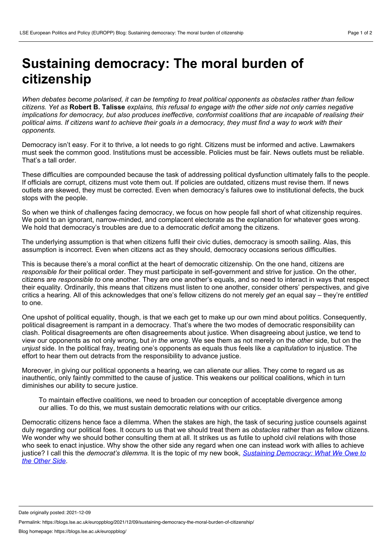## **Sustaining democracy: The moral burden of citizenship**

When debates become polarised, it can be tempting to treat political opponents as obstacles rather than fellow citizens. Yet as Robert B. Talisse explains, this refusal to engage with the other side not only carries negative *implications for democracy, but also produces ineffective, conformist coalitions that are incapable of realising their* political aims. If citizens want to achieve their goals in a democracy, they must find a way to work with their *opponents.*

Democracy isn't easy. For it to thrive, a lot needs to go right. Citizens must be informed and active. Lawmakers must seek the common good. Institutions must be accessible. Policies must be fair. News outlets must be reliable. That's a tall order.

These difficulties are compounded because the task of addressing political dysfunction ultimately falls to the people. If officials are corrupt, citizens must vote them out. If policies are outdated, citizens must revise them. If news outlets are skewed, they must be corrected. Even when democracy's failures owe to institutional defects, the buck stops with the people.

So when we think of challenges facing democracy, we focus on how people fall short of what citizenship requires. We point to an ignorant, narrow-minded, and complacent electorate as the explanation for whatever goes wrong. We hold that democracy's troubles are due to a democratic *deficit* among the citizens.

The underlying assumption is that when citizens fulfil their civic duties, democracy is smooth sailing. Alas, this assumption is incorrect. Even when citizens act as they should, democracy occasions serious difficulties.

This is because there's a moral conflict at the heart of democratic citizenship. On the one hand, citizens are *responsible for* their political order. They must participate in self-government and strive for justice. On the other, citizens are *responsible to* one another. They are one another's equals, and so need to interact in ways that respect their equality. Ordinarily, this means that citizens must listen to one another, consider others' perspectives, and give critics a hearing. All of this acknowledges that one's fellow citizens do not merely *get* an equal say – they're *entitled* to one.

One upshot of political equality, though, is that we each get to make up our own mind about politics. Consequently, political disagreement is rampant in a democracy. That's where the two modes of democratic responsibility can clash. Political disagreements are often disagreements about justice. When disagreeing about justice, we tend to view our opponents as not only wrong, but *in the wrong*. We see them as not merely on the *other* side, but on the *unjust* side. In the political fray, treating one's opponents as equals thus feels like a *capitulation* to injustice. The effort to hear them out detracts from the responsibility to advance justice.

Moreover, in giving our political opponents a hearing, we can alienate our allies. They come to regard us as inauthentic, only faintly committed to the cause of justice. This weakens our political coalitions, which in turn diminishes our ability to secure justice.

To maintain effective coalitions, we need to broaden our conception of acceptable divergence among our allies. To do this, we must sustain democratic relations with our critics.

Democratic citizens hence face a dilemma. When the stakes are high, the task of securing justice counsels against duly regarding our political foes. It occurs to us that we should treat them as *obstacles* rather than as fellow citizens. We wonder why we should bother consulting them at all. It strikes us as futile to uphold civil relations with those who seek to enact injustice. Why show the other side any regard when one can instead work with allies to achieve justice? I call this the *democrat's dilemma*. It is the topic of my new book, *Sustaining [Democracy:](https://global.oup.com/academic/product/sustaining-democracy-9780197556450?prevNumResPerPage=20&prevSortField=8&resultsPerPage=20&sortField=8&type=listing&start=80&lang=en&cc=us) What We Owe to the Other Side*.

Date originally posted: 2021-12-09

Permalink: https://blogs.lse.ac.uk/europpblog/2021/12/09/sustaining-democracy-the-moral-burden-of-citizenship/